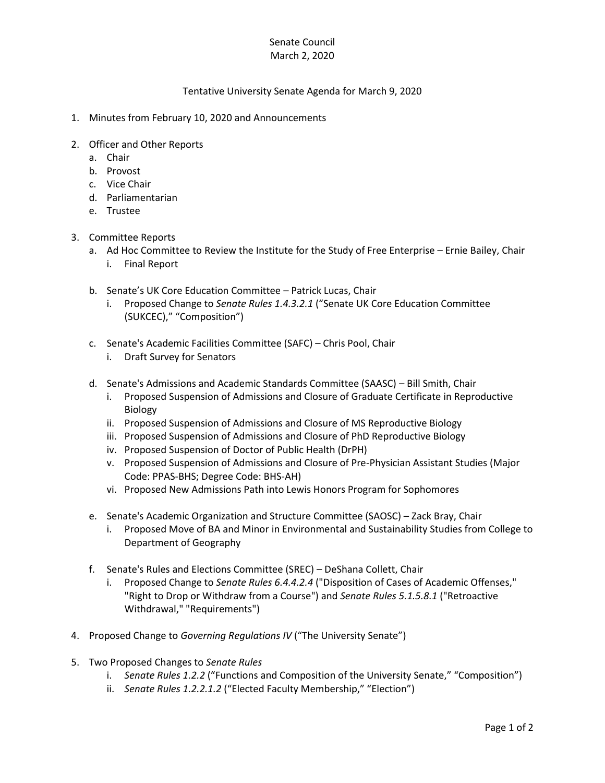## Senate Council March 2, 2020

## Tentative University Senate Agenda for March 9, 2020

- 1. Minutes from February 10, 2020 and Announcements
- 2. Officer and Other Reports
	- a. Chair
	- b. Provost
	- c. Vice Chair
	- d. Parliamentarian
	- e. Trustee
- 3. Committee Reports
	- a. Ad Hoc Committee to Review the Institute for the Study of Free Enterprise Ernie Bailey, Chair i. Final Report
	- b. Senate's UK Core Education Committee Patrick Lucas, Chair
		- i. Proposed Change to *Senate Rules 1.4.3.2.1* ("Senate UK Core Education Committee (SUKCEC)," "Composition")
	- c. Senate's Academic Facilities Committee (SAFC) Chris Pool, Chair
		- i. Draft Survey for Senators
	- d. Senate's Admissions and Academic Standards Committee (SAASC) Bill Smith, Chair
		- i. Proposed Suspension of Admissions and Closure of Graduate Certificate in Reproductive Biology
		- ii. Proposed Suspension of Admissions and Closure of MS Reproductive Biology
		- iii. Proposed Suspension of Admissions and Closure of PhD Reproductive Biology
		- iv. Proposed Suspension of Doctor of Public Health (DrPH)
		- v. Proposed Suspension of Admissions and Closure of Pre-Physician Assistant Studies (Major Code: PPAS-BHS; Degree Code: BHS-AH)
		- vi. Proposed New Admissions Path into Lewis Honors Program for Sophomores
	- e. Senate's Academic Organization and Structure Committee (SAOSC) Zack Bray, Chair
		- i. Proposed Move of BA and Minor in Environmental and Sustainability Studies from College to Department of Geography
	- f. Senate's Rules and Elections Committee (SREC) DeShana Collett, Chair
		- i. Proposed Change to *Senate Rules 6.4.4.2.4* ("Disposition of Cases of Academic Offenses," "Right to Drop or Withdraw from a Course") and *Senate Rules 5.1.5.8.1* ("Retroactive Withdrawal," "Requirements")
- 4. Proposed Change to *Governing Regulations IV* ("The University Senate")
- 5. Two Proposed Changes to *Senate Rules*
	- i. *Senate Rules 1.2.2* ("Functions and Composition of the University Senate," "Composition")
	- ii. *Senate Rules 1.2.2.1.2* ("Elected Faculty Membership," "Election")